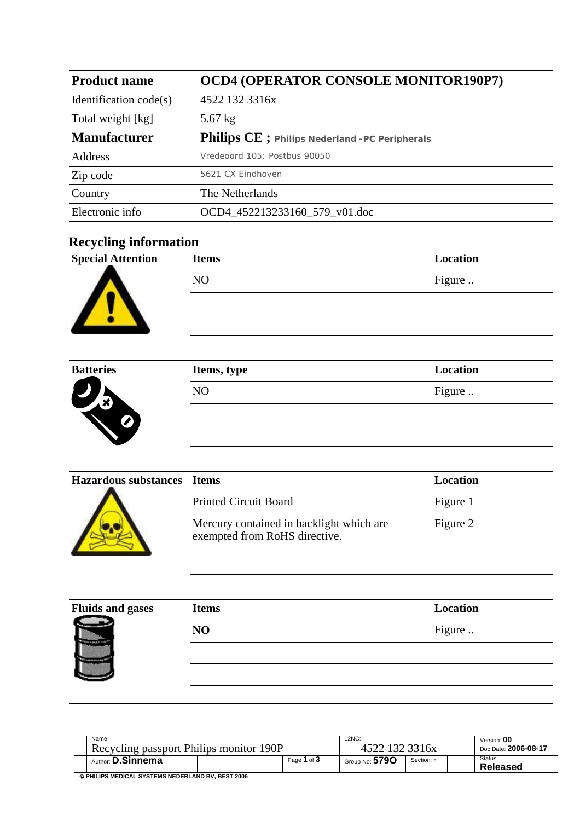| <b>Product name</b>    | <b>OCD4 (OPERATOR CONSOLE MONITOR190P7)</b>    |
|------------------------|------------------------------------------------|
| Identification code(s) | 4522 132 3316x                                 |
| Total weight [kg]      | $5.67$ kg                                      |
| <b>Manufacturer</b>    | Philips CE ; Philips Nederland -PC Peripherals |
| Address                | Vredeoord 105: Postbus 90050                   |
| Zip code               | 5621 CX Eindhoven                              |
| Country                | The Netherlands                                |
| Electronic info        | OCD4 452213233160 579 v01.doc                  |

## **Recycling information**

| <b>Special Attention</b>    | <b>Items</b>                                                              | Location        |
|-----------------------------|---------------------------------------------------------------------------|-----------------|
|                             | NO                                                                        | Figure          |
|                             |                                                                           |                 |
|                             |                                                                           |                 |
|                             |                                                                           |                 |
| <b>Batteries</b>            | Items, type                                                               | <b>Location</b> |
|                             | NO                                                                        | Figure          |
|                             |                                                                           |                 |
|                             |                                                                           |                 |
|                             |                                                                           |                 |
| <b>Hazardous substances</b> | <b>Items</b>                                                              | <b>Location</b> |
|                             | <b>Printed Circuit Board</b>                                              | Figure 1        |
|                             | Mercury contained in backlight which are<br>exempted from RoHS directive. | Figure 2        |
|                             |                                                                           |                 |
|                             |                                                                           |                 |
| <b>Fluids and gases</b>     | <b>Items</b>                                                              | <b>Location</b> |
|                             | NO                                                                        | Figure          |
|                             |                                                                           |                 |
|                             |                                                                           |                 |
|                             |                                                                           |                 |

| Name:                                             |  |  |             | $12NC$ :       |                      | Version: 00         |
|---------------------------------------------------|--|--|-------------|----------------|----------------------|---------------------|
| Recycling passport Philips monitor 190P           |  |  | 132 3316x   |                | Doc.Date: 2006-08-17 |                     |
| Author: <b>D.Sinnema</b>                          |  |  | Page 1 of 3 | Group No: 5790 | Section: -           | Status:<br>Released |
| @ PHILIPS MEDICAL SYSTEMS NEDERLAND BV, BEST 2006 |  |  |             |                |                      |                     |

© **PHILIPS MEDICAL SYSTEMS NEDERLAND BV, BEST 2006**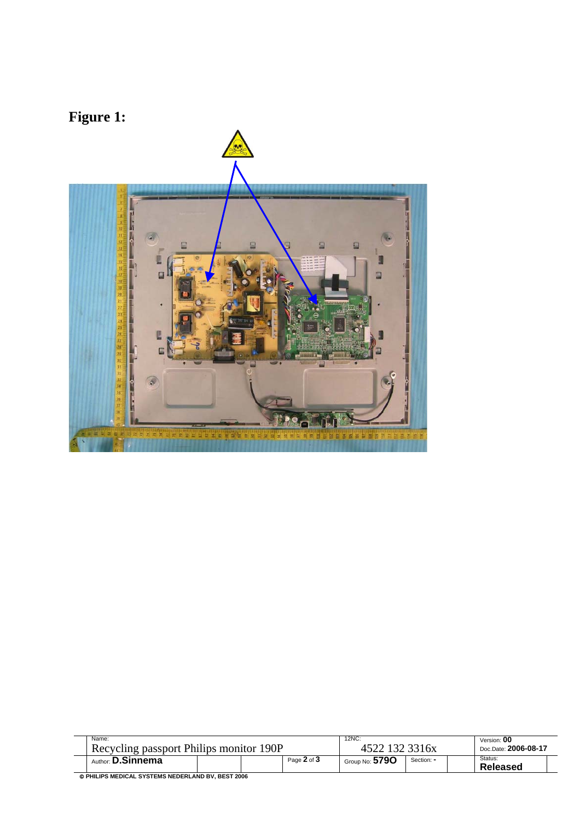## **Figure 1:**



| Name:<br>Recycling passport Philips monitor 190P   |  |             | 12NC:<br>3316x |            | Version: 00<br>Doc.Date: 2006-08-17 |
|----------------------------------------------------|--|-------------|----------------|------------|-------------------------------------|
| Author: <b>D.Sinnema</b>                           |  | Page 2 of 3 | Group No: 5790 | Section: - | Status:<br>Released                 |
| A BUILIDE MEDICAL EVETEME MEDEDI AND DV. BEET 2006 |  |             |                |            |                                     |

© **PHILIPS MEDICAL SYSTEMS NEDERLAND BV, BEST 2006**